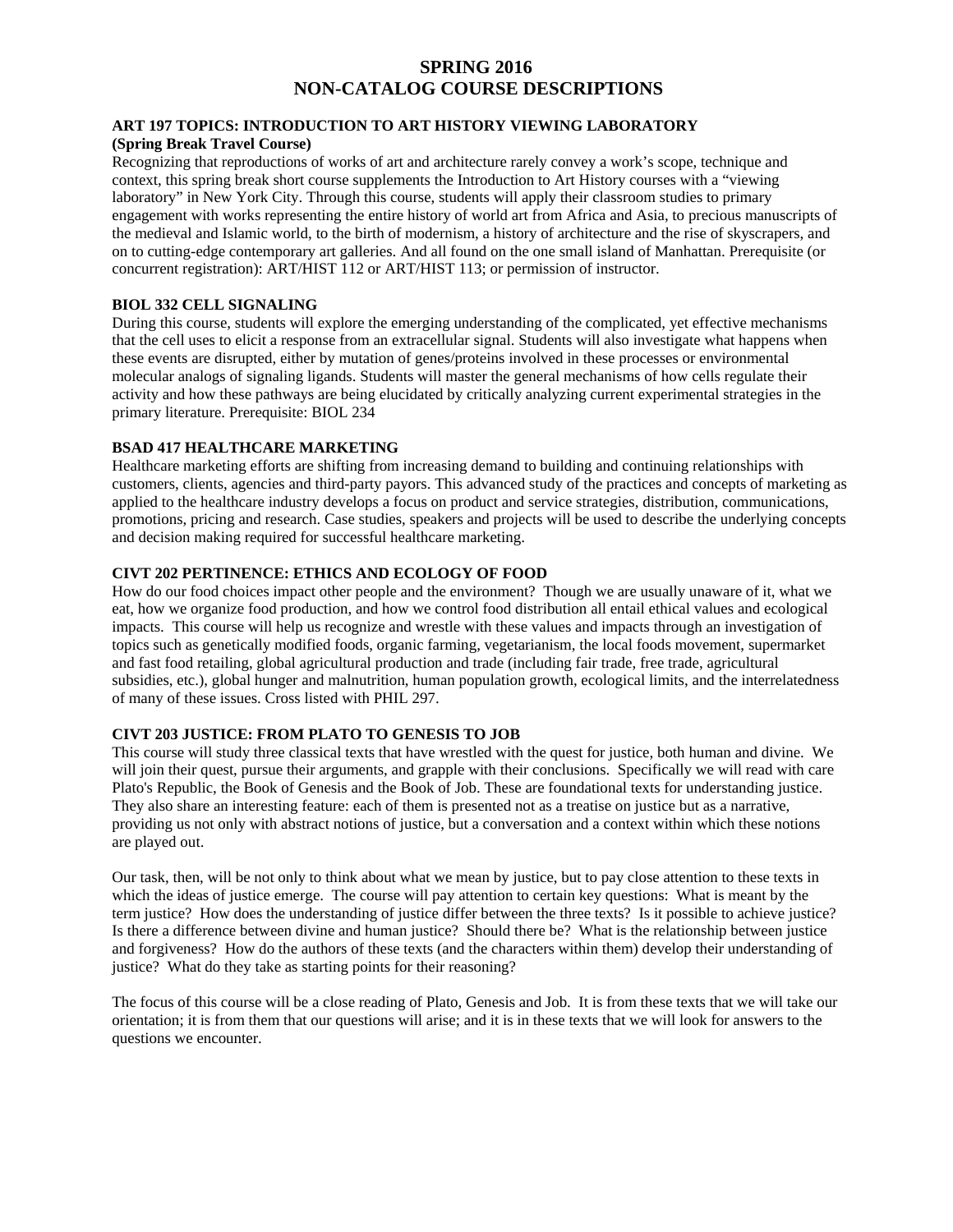# **SPRING 2016 NON-CATALOG COURSE DESCRIPTIONS**

#### **ART 197 TOPICS: INTRODUCTION TO ART HISTORY VIEWING LABORATORY (Spring Break Travel Course)**

Recognizing that reproductions of works of art and architecture rarely convey a work's scope, technique and context, this spring break short course supplements the Introduction to Art History courses with a "viewing laboratory" in New York City. Through this course, students will apply their classroom studies to primary engagement with works representing the entire history of world art from Africa and Asia, to precious manuscripts of the medieval and Islamic world, to the birth of modernism, a history of architecture and the rise of skyscrapers, and on to cutting-edge contemporary art galleries. And all found on the one small island of Manhattan. Prerequisite (or concurrent registration): ART/HIST 112 or ART/HIST 113; or permission of instructor.

#### **BIOL 332 CELL SIGNALING**

During this course, students will explore the emerging understanding of the complicated, yet effective mechanisms that the cell uses to elicit a response from an extracellular signal. Students will also investigate what happens when these events are disrupted, either by mutation of genes/proteins involved in these processes or environmental molecular analogs of signaling ligands. Students will master the general mechanisms of how cells regulate their activity and how these pathways are being elucidated by critically analyzing current experimental strategies in the primary literature. Prerequisite: BIOL 234

#### **BSAD 417 HEALTHCARE MARKETING**

Healthcare marketing efforts are shifting from increasing demand to building and continuing relationships with customers, clients, agencies and third-party payors. This advanced study of the practices and concepts of marketing as applied to the healthcare industry develops a focus on product and service strategies, distribution, communications, promotions, pricing and research. Case studies, speakers and projects will be used to describe the underlying concepts and decision making required for successful healthcare marketing.

### **CIVT 202 PERTINENCE: ETHICS AND ECOLOGY OF FOOD**

How do our food choices impact other people and the environment? Though we are usually unaware of it, what we eat, how we organize food production, and how we control food distribution all entail ethical values and ecological impacts. This course will help us recognize and wrestle with these values and impacts through an investigation of topics such as genetically modified foods, organic farming, vegetarianism, the local foods movement, supermarket and fast food retailing, global agricultural production and trade (including fair trade, free trade, agricultural subsidies, etc.), global hunger and malnutrition, human population growth, ecological limits, and the interrelatedness of many of these issues. Cross listed with PHIL 297.

#### **CIVT 203 JUSTICE: FROM PLATO TO GENESIS TO JOB**

This course will study three classical texts that have wrestled with the quest for justice, both human and divine. We will join their quest, pursue their arguments, and grapple with their conclusions. Specifically we will read with care Plato's Republic, the Book of Genesis and the Book of Job. These are foundational texts for understanding justice. They also share an interesting feature: each of them is presented not as a treatise on justice but as a narrative, providing us not only with abstract notions of justice, but a conversation and a context within which these notions are played out.

Our task, then, will be not only to think about what we mean by justice, but to pay close attention to these texts in which the ideas of justice emerge. The course will pay attention to certain key questions: What is meant by the term justice? How does the understanding of justice differ between the three texts? Is it possible to achieve justice? Is there a difference between divine and human justice? Should there be? What is the relationship between justice and forgiveness? How do the authors of these texts (and the characters within them) develop their understanding of justice? What do they take as starting points for their reasoning?

The focus of this course will be a close reading of Plato, Genesis and Job. It is from these texts that we will take our orientation; it is from them that our questions will arise; and it is in these texts that we will look for answers to the questions we encounter.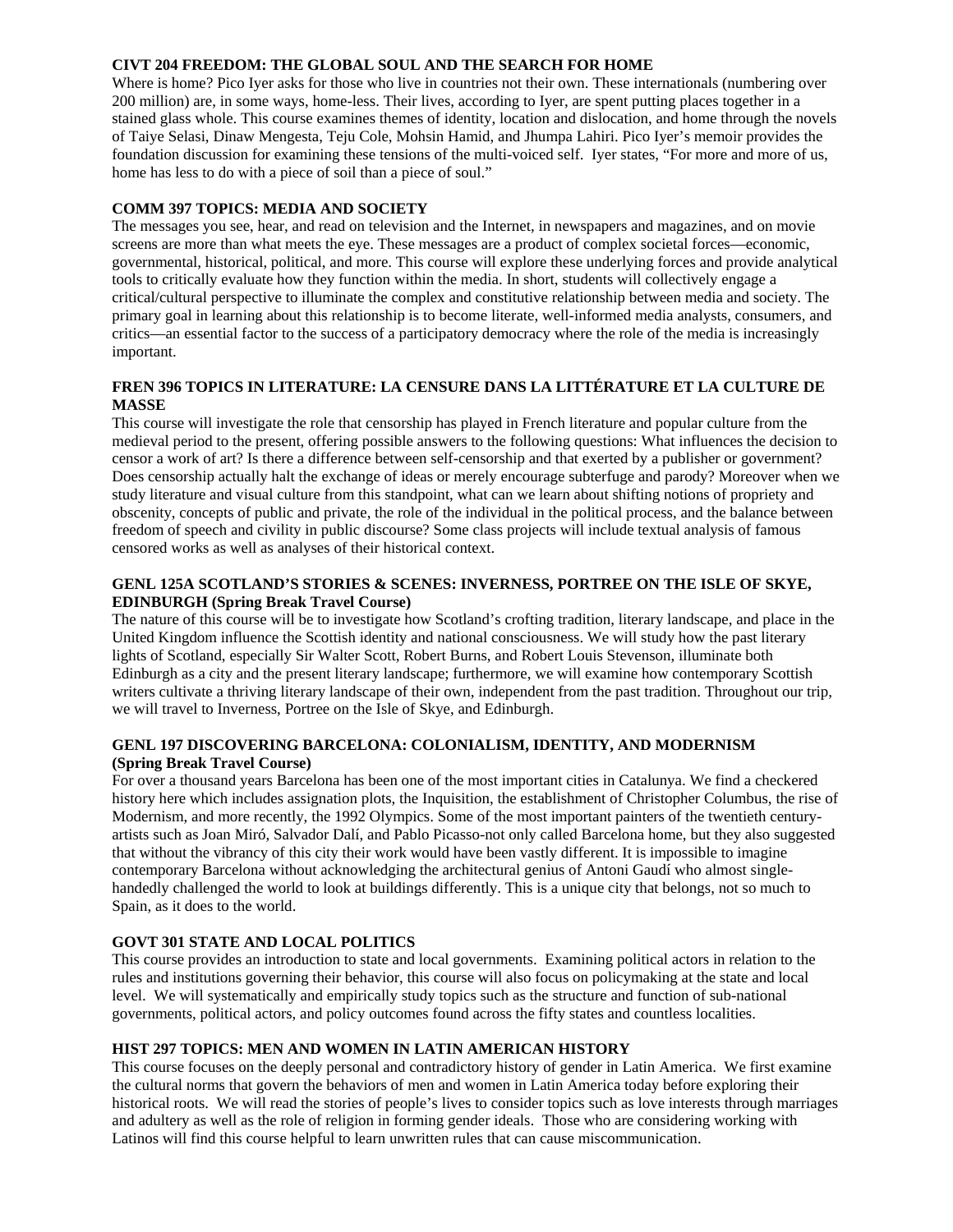### **CIVT 204 FREEDOM: THE GLOBAL SOUL AND THE SEARCH FOR HOME**

Where is home? Pico Iyer asks for those who live in countries not their own. These internationals (numbering over 200 million) are, in some ways, home-less. Their lives, according to Iyer, are spent putting places together in a stained glass whole. This course examines themes of identity, location and dislocation, and home through the novels of Taiye Selasi, Dinaw Mengesta, Teju Cole, Mohsin Hamid, and Jhumpa Lahiri. Pico Iyer's memoir provides the foundation discussion for examining these tensions of the multi-voiced self. Iyer states, "For more and more of us, home has less to do with a piece of soil than a piece of soul."

#### **COMM 397 TOPICS: MEDIA AND SOCIETY**

The messages you see, hear, and read on television and the Internet, in newspapers and magazines, and on movie screens are more than what meets the eye. These messages are a product of complex societal forces—economic, governmental, historical, political, and more. This course will explore these underlying forces and provide analytical tools to critically evaluate how they function within the media. In short, students will collectively engage a critical/cultural perspective to illuminate the complex and constitutive relationship between media and society. The primary goal in learning about this relationship is to become literate, well-informed media analysts, consumers, and critics—an essential factor to the success of a participatory democracy where the role of the media is increasingly important.

### **FREN 396 TOPICS IN LITERATURE: LA CENSURE DANS LA LITTÉRATURE ET LA CULTURE DE MASSE**

This course will investigate the role that censorship has played in French literature and popular culture from the medieval period to the present, offering possible answers to the following questions: What influences the decision to censor a work of art? Is there a difference between self-censorship and that exerted by a publisher or government? Does censorship actually halt the exchange of ideas or merely encourage subterfuge and parody? Moreover when we study literature and visual culture from this standpoint, what can we learn about shifting notions of propriety and obscenity, concepts of public and private, the role of the individual in the political process, and the balance between freedom of speech and civility in public discourse? Some class projects will include textual analysis of famous censored works as well as analyses of their historical context.

# **GENL 125A SCOTLAND'S STORIES & SCENES: INVERNESS, PORTREE ON THE ISLE OF SKYE, EDINBURGH (Spring Break Travel Course)**

The nature of this course will be to investigate how Scotland's crofting tradition, literary landscape, and place in the United Kingdom influence the Scottish identity and national consciousness. We will study how the past literary lights of Scotland, especially Sir Walter Scott, Robert Burns, and Robert Louis Stevenson, illuminate both Edinburgh as a city and the present literary landscape; furthermore, we will examine how contemporary Scottish writers cultivate a thriving literary landscape of their own, independent from the past tradition. Throughout our trip, we will travel to Inverness, Portree on the Isle of Skye, and Edinburgh.

# **GENL 197 DISCOVERING BARCELONA: COLONIALISM, IDENTITY, AND MODERNISM (Spring Break Travel Course)**

For over a thousand years Barcelona has been one of the most important cities in Catalunya. We find a checkered history here which includes assignation plots, the Inquisition, the establishment of Christopher Columbus, the rise of Modernism, and more recently, the 1992 Olympics. Some of the most important painters of the twentieth centuryartists such as Joan Miró, Salvador Dalí, and Pablo Picasso-not only called Barcelona home, but they also suggested that without the vibrancy of this city their work would have been vastly different. It is impossible to imagine contemporary Barcelona without acknowledging the architectural genius of Antoni Gaudí who almost singlehandedly challenged the world to look at buildings differently. This is a unique city that belongs, not so much to Spain, as it does to the world.

### **GOVT 301 STATE AND LOCAL POLITICS**

This course provides an introduction to state and local governments. Examining political actors in relation to the rules and institutions governing their behavior, this course will also focus on policymaking at the state and local level. We will systematically and empirically study topics such as the structure and function of sub-national governments, political actors, and policy outcomes found across the fifty states and countless localities.

#### **HIST 297 TOPICS: MEN AND WOMEN IN LATIN AMERICAN HISTORY**

This course focuses on the deeply personal and contradictory history of gender in Latin America. We first examine the cultural norms that govern the behaviors of men and women in Latin America today before exploring their historical roots. We will read the stories of people's lives to consider topics such as love interests through marriages and adultery as well as the role of religion in forming gender ideals. Those who are considering working with Latinos will find this course helpful to learn unwritten rules that can cause miscommunication.